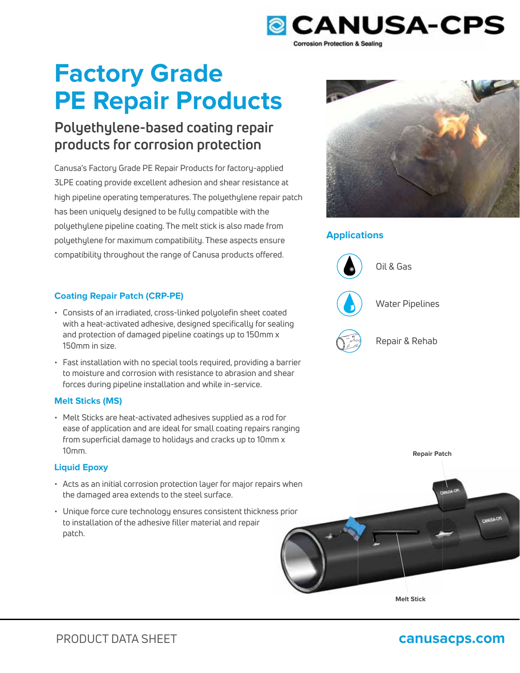

# **Factory Grade PE Repair Products**

## **Polyethylene-based coating repair products for corrosion protection**

Canusa's Factory Grade PE Repair Products for factory-applied 3LPE coating provide excellent adhesion and shear resistance at high pipeline operating temperatures. The polyethylene repair patch has been uniquely designed to be fully compatible with the polyethylene pipeline coating. The melt stick is also made from polyethylene for maximum compatibility. These aspects ensure compatibility throughout the range of Canusa products offered.

### **Coating Repair Patch (CRP-PE)**

- Consists of an irradiated, cross-linked polyolefin sheet coated with a heat-activated adhesive, designed specifically for sealing and protection of damaged pipeline coatings up to 150mm x 150mm in size.
- Fast installation with no special tools required, providing a barrier to moisture and corrosion with resistance to abrasion and shear forces during pipeline installation and while in-service.

### **Melt Sticks (MS)**

• Melt Sticks are heat-activated adhesives supplied as a rod for ease of application and are ideal for small coating repairs ranging from superficial damage to holidays and cracks up to 10mm x 10mm.

### **Liquid Epoxy**

- $\cdot$  Acts as an initial corrosion protection layer for major repairs when the damaged area extends to the steel surface.
- $\cdot$  Unique force cure technology ensures consistent thickness prior to installation of the adhesive filler material and repair patch.



### **Applications**



Oil & Gas



Water Pipelines



Repair & Rehab



**Repair Patch**

**Melt Stick**